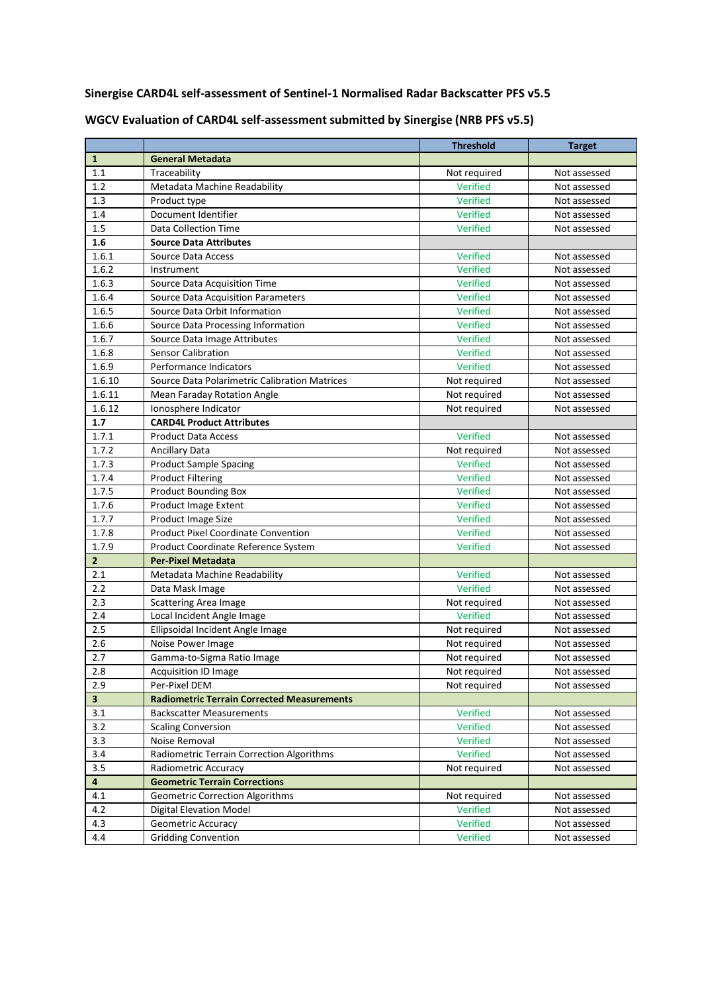**Sinergise CARD4L self-assessment of Sentinel-1 Normalised Radar Backscatter PFS v5.5**

|                |                                                   | <b>Threshold</b> | <b>Target</b> |
|----------------|---------------------------------------------------|------------------|---------------|
| $\mathbf{1}$   | <b>General Metadata</b>                           |                  |               |
| 1.1            | Traceability                                      | Not required     | Not assessed  |
| 1.2            | Metadata Machine Readability                      | Verified         | Not assessed  |
| 1.3            | Product type                                      | Verified         | Not assessed  |
| 1.4            | Document Identifier                               | Verified         | Not assessed  |
| 1.5            | <b>Data Collection Time</b>                       | Verified         | Not assessed  |
| 1.6            | <b>Source Data Attributes</b>                     |                  |               |
| 1.6.1          | Source Data Access                                | Verified         | Not assessed  |
| 1.6.2          | Instrument                                        | Verified         | Not assessed  |
| 1.6.3          | Source Data Acquisition Time                      | Verified         | Not assessed  |
| 1.6.4          | <b>Source Data Acquisition Parameters</b>         | Verified         | Not assessed  |
| 1.6.5          | Source Data Orbit Information                     | Verified         | Not assessed  |
| 1.6.6          | Source Data Processing Information                | Verified         | Not assessed  |
| 1.6.7          | Source Data Image Attributes                      | Verified         | Not assessed  |
| 1.6.8          | <b>Sensor Calibration</b>                         | Verified         | Not assessed  |
| 1.6.9          | Performance Indicators                            | Verified         | Not assessed  |
| 1.6.10         | Source Data Polarimetric Calibration Matrices     | Not required     | Not assessed  |
| 1.6.11         | Mean Faraday Rotation Angle                       | Not required     | Not assessed  |
| 1.6.12         | Ionosphere Indicator                              | Not required     | Not assessed  |
| 1.7            | <b>CARD4L Product Attributes</b>                  |                  |               |
| 1.7.1          | <b>Product Data Access</b>                        | Verified         | Not assessed  |
| 1.7.2          | <b>Ancillary Data</b>                             | Not required     | Not assessed  |
| 1.7.3          | <b>Product Sample Spacing</b>                     | Verified         | Not assessed  |
| 1.7.4          | <b>Product Filtering</b>                          | Verified         | Not assessed  |
| 1.7.5          | <b>Product Bounding Box</b>                       | Verified         | Not assessed  |
| 1.7.6          | <b>Product Image Extent</b>                       | Verified         | Not assessed  |
| 1.7.7          | Product Image Size                                | Verified         | Not assessed  |
| 1.7.8          | <b>Product Pixel Coordinate Convention</b>        | Verified         | Not assessed  |
| 1.7.9          | Product Coordinate Reference System               | Verified         | Not assessed  |
| $\overline{2}$ | <b>Per-Pixel Metadata</b>                         |                  |               |
| 2.1            | Metadata Machine Readability                      | Verified         | Not assessed  |
| 2.2            | Data Mask Image                                   | Verified         | Not assessed  |
| 2.3            | <b>Scattering Area Image</b>                      | Not required     | Not assessed  |
| 2.4            | Local Incident Angle Image                        | Verified         | Not assessed  |
| 2.5            | Ellipsoidal Incident Angle Image                  | Not required     | Not assessed  |
| 2.6            | Noise Power Image                                 | Not required     | Not assessed  |
| 2.7            | Gamma-to-Sigma Ratio Image                        | Not required     | Not assessed  |
| 2.8            | <b>Acquisition ID Image</b>                       | Not required     | Not assessed  |
| 2.9            | Per-Pixel DEM                                     | Not required     | Not assessed  |
| $\mathbf{3}$   | <b>Radiometric Terrain Corrected Measurements</b> |                  |               |
| 3.1            | <b>Backscatter Measurements</b>                   | Verified         | Not assessed  |
| 3.2            | <b>Scaling Conversion</b>                         | Verified         | Not assessed  |
| 3.3            | Noise Removal                                     | Verified         | Not assessed  |
| 3.4            | Radiometric Terrain Correction Algorithms         | <b>Verified</b>  | Not assessed  |
| 3.5            | Radiometric Accuracy                              | Not required     | Not assessed  |
| 4              | <b>Geometric Terrain Corrections</b>              |                  |               |
| 4.1            | <b>Geometric Correction Algorithms</b>            | Not required     | Not assessed  |
| 4.2            | <b>Digital Elevation Model</b>                    | Verified         | Not assessed  |
| 4.3            | Geometric Accuracy                                | Verified         | Not assessed  |
| $4.4\,$        | <b>Gridding Convention</b>                        | Verified         | Not assessed  |

**WGCV Evaluation of CARD4L self-assessment submitted by Sinergise (NRB PFS v5.5)**